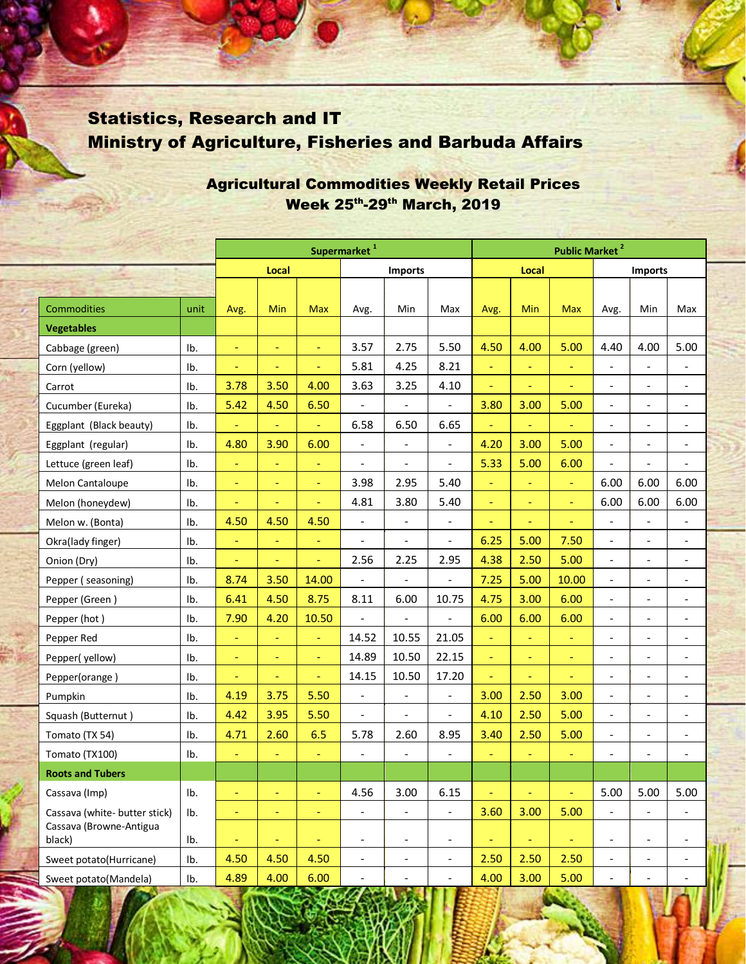## Statistics, Research and IT Ministry of Agriculture, Fisheries and Barbuda Affairs

|                                   |      | Supermarket <sup>1</sup> |          |                          |                          |                          |                              |                | <b>Public Market<sup>2</sup></b> |                |                          |                              |                          |  |  |  |
|-----------------------------------|------|--------------------------|----------|--------------------------|--------------------------|--------------------------|------------------------------|----------------|----------------------------------|----------------|--------------------------|------------------------------|--------------------------|--|--|--|
|                                   |      | Local                    |          | <b>Imports</b>           |                          |                          | Local                        |                |                                  | <b>Imports</b> |                          |                              |                          |  |  |  |
|                                   |      |                          |          |                          |                          |                          |                              |                |                                  |                |                          |                              |                          |  |  |  |
| Commodities                       | unit | Avg.                     | Min      | <b>Max</b>               | Avg.                     | Min                      | Max                          | Avg.           | Min                              | <b>Max</b>     | Avg.                     | Min                          | Max                      |  |  |  |
| <b>Vegetables</b>                 |      |                          |          |                          |                          |                          |                              |                |                                  |                |                          |                              |                          |  |  |  |
| Cabbage (green)                   | Ib.  |                          | ÷,       | $\equiv$                 | 3.57                     | 2.75                     | 5.50                         | 4.50           | 4.00                             | 5.00           | 4.40                     | 4.00                         | 5.00                     |  |  |  |
| Corn (yellow)                     | Ib.  | ÷,                       | ÷,       | $\equiv$                 | 5.81                     | 4.25                     | 8.21                         | Ξ              | $\Box$                           | Ξ              | $\overline{\phantom{a}}$ | $\frac{1}{2}$                | $\qquad \qquad -$        |  |  |  |
| Carrot                            | Ib.  | 3.78                     | 3.50     | 4.00                     | 3.63                     | 3.25                     | 4.10                         | Ξ              | $\blacksquare$                   | $\blacksquare$ | $\overline{\phantom{a}}$ | $\overline{\phantom{0}}$     | $\overline{\phantom{a}}$ |  |  |  |
| Cucumber (Eureka)                 | Ib.  | 5.42                     | 4.50     | 6.50                     |                          |                          | $\overline{a}$               | 3.80           | 3.00                             | 5.00           | $\overline{\phantom{a}}$ | $\overline{\phantom{a}}$     |                          |  |  |  |
| Eggplant (Black beauty)           | Ib.  | Ξ                        | ÷,       | $\equiv$                 | 6.58                     | 6.50                     | 6.65                         | Ξ              | $\equiv$                         | ÷              | $\overline{\phantom{a}}$ |                              |                          |  |  |  |
| Eggplant (regular)                | Ib.  | 4.80                     | 3.90     | 6.00                     | $\overline{\phantom{a}}$ | $\overline{\phantom{a}}$ | $\overline{\phantom{a}}$     | 4.20           | 3.00                             | 5.00           | $\overline{\phantom{a}}$ | $\frac{1}{2}$                | $\overline{\phantom{a}}$ |  |  |  |
| Lettuce (green leaf)              | Ib.  | Ξ                        | $\equiv$ | $\equiv$                 | $\overline{\phantom{a}}$ | $\overline{\phantom{a}}$ | $\overline{a}$               | 5.33           | 5.00                             | 6.00           | $\overline{a}$           | $\blacksquare$               |                          |  |  |  |
| Melon Cantaloupe                  | Ib.  | Ξ                        | ÷,       | $\equiv$                 | 3.98                     | 2.95                     | 5.40                         | ÷,             | $\equiv$                         | $\Box$         | 6.00                     | 6.00                         | 6.00                     |  |  |  |
| Melon (honeydew)                  | Ib.  | Ξ                        | $\equiv$ | $\equiv$                 | 4.81                     | 3.80                     | 5.40                         | $\equiv$       | $\equiv$                         | $\blacksquare$ | 6.00                     | 6.00                         | 6.00                     |  |  |  |
| Melon w. (Bonta)                  | Ib.  | 4.50                     | 4.50     | 4.50                     | $\blacksquare$           | $\overline{\phantom{a}}$ | $\qquad \qquad \blacksquare$ | ÷              | $\equiv$                         | Ξ              | $\overline{\phantom{a}}$ | $\blacksquare$               |                          |  |  |  |
| Okra(lady finger)                 | Ib.  | Ξ                        | ÷,       | $\equiv$                 | $\overline{a}$           | $\overline{a}$           | $\qquad \qquad \blacksquare$ | 6.25           | 5.00                             | 7.50           | $\overline{\phantom{a}}$ |                              |                          |  |  |  |
| Onion (Dry)                       | Ib.  | Ξ                        | ÷        | $\equiv$                 | 2.56                     | 2.25                     | 2.95                         | 4.38           | 2.50                             | 5.00           | $\overline{\phantom{a}}$ | $\overline{\phantom{a}}$     | -                        |  |  |  |
| Pepper (seasoning)                | Ib.  | 8.74                     | 3.50     | 14.00                    | $\overline{a}$           | $\overline{\phantom{a}}$ | $\overline{a}$               | 7.25           | 5.00                             | 10.00          | $\overline{\phantom{a}}$ | $\overline{\phantom{0}}$     | $\overline{\phantom{a}}$ |  |  |  |
| Pepper (Green)                    | Ib.  | 6.41                     | 4.50     | 8.75                     | 8.11                     | 6.00                     | 10.75                        | 4.75           | 3.00                             | 6.00           | $\overline{\phantom{a}}$ |                              |                          |  |  |  |
| Pepper (hot)                      | Ib.  | 7.90                     | 4.20     | 10.50                    |                          | $\overline{\phantom{a}}$ | $\overline{a}$               | 6.00           | 6.00                             | 6.00           | $\overline{\phantom{a}}$ | $\overline{\phantom{a}}$     |                          |  |  |  |
| Pepper Red                        | Ib.  | Ξ                        | $\Box$   | $\equiv$                 | 14.52                    | 10.55                    | 21.05                        | Ξ              | $\Box$                           | $\equiv$       | $\overline{\phantom{a}}$ | $\overline{\phantom{0}}$     | $\overline{\phantom{a}}$ |  |  |  |
| Pepper(yellow)                    | Ib.  | $\equiv$                 | $\equiv$ | $\equiv$                 | 14.89                    | 10.50                    | 22.15                        | $\equiv$       | $\equiv$                         | $\equiv$       | $\overline{\phantom{a}}$ | $\overline{\phantom{a}}$     | $\overline{\phantom{0}}$ |  |  |  |
| Pepper(orange)                    | Ib.  | ٠                        | ٠        | $\equiv$                 | 14.15                    | 10.50                    | 17.20                        | Ξ              | $\overline{\phantom{a}}$         | ÷              | $\overline{\phantom{a}}$ | $\overline{\phantom{a}}$     | $\overline{\phantom{a}}$ |  |  |  |
| Pumpkin                           | Ib.  | 4.19                     | 3.75     | 5.50                     | $\overline{\phantom{a}}$ | $\overline{\phantom{a}}$ | $\overline{\phantom{a}}$     | 3.00           | 2.50                             | 3.00           | $\overline{\phantom{a}}$ | $\overline{\phantom{a}}$     | $\overline{\phantom{a}}$ |  |  |  |
| Squash (Butternut)                | Ib.  | 4.42                     | 3.95     | 5.50                     | $\blacksquare$           | $\overline{\phantom{a}}$ | $\overline{a}$               | 4.10           | 2.50                             | 5.00           | $\overline{\phantom{a}}$ | $\blacksquare$               | $\overline{\phantom{0}}$ |  |  |  |
| Tomato (TX 54)                    | Ib.  | 4.71                     | 2.60     | 6.5                      | 5.78                     | 2.60                     | 8.95                         | 3.40           | 2.50                             | 5.00           | $\overline{a}$           |                              |                          |  |  |  |
| Tomato (TX100)                    | Ib.  | Ξ                        | Ξ        | $\equiv$                 | $\blacksquare$           | $\overline{\phantom{a}}$ | $\frac{1}{2}$                | Ξ              | ÷,                               | Ξ              | $\overline{\phantom{a}}$ | $\overline{a}$               | $\overline{\phantom{a}}$ |  |  |  |
| <b>Roots and Tubers</b>           |      |                          |          |                          |                          |                          |                              |                |                                  |                |                          |                              |                          |  |  |  |
| Cassava (Imp)                     | Ib.  | Ξ                        | ÷,       | $\blacksquare$           | 4.56                     | 3.00                     | 6.15                         | ÷              | Ξ                                | ÷,             | 5.00                     | 5.00                         | 5.00                     |  |  |  |
| Cassava (white- butter stick)     | Ib.  | ÷,                       | $\equiv$ | $\blacksquare$           | $\overline{\phantom{0}}$ | $\blacksquare$           | $\blacksquare$               | 3.60           | 3.00                             | 5.00           |                          |                              |                          |  |  |  |
| Cassava (Browne-Antigua<br>black) | Ib.  | Ξ                        | Ξ        | $\overline{\phantom{a}}$ | $\qquad \qquad -$        | $\overline{\phantom{m}}$ | $\overline{\phantom{a}}$     | $\blacksquare$ | Ξ                                | ÷,             | $\overline{\phantom{m}}$ | $\overline{\phantom{a}}$     | -                        |  |  |  |
| Sweet potato(Hurricane)           | Ib.  | 4.50                     | 4.50     | 4.50                     | $\overline{\phantom{0}}$ | $\overline{\phantom{a}}$ | $\overline{\phantom{0}}$     | 2.50           | 2.50                             | 2.50           | $\overline{\phantom{a}}$ | $\qquad \qquad \blacksquare$ | $\overline{\phantom{a}}$ |  |  |  |
| Sweet potato(Mandela)             | Ib.  | 4.89                     | 4.00     | 6.00                     | $\overline{\phantom{a}}$ | $\overline{\phantom{a}}$ | $\overline{\phantom{0}}$     | 4.00           | 3.00                             | 5.00           | $\overline{\phantom{a}}$ | $\overline{\phantom{a}}$     | $\blacksquare$           |  |  |  |

## Agricultural Commodities Weekly Retail Prices Week 25th-29th March, 2019